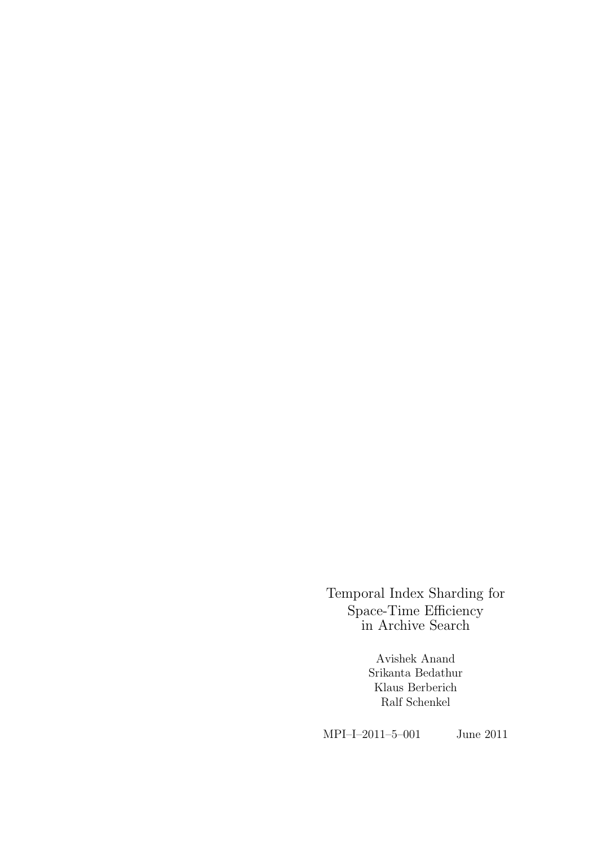Temporal Index Sharding for Space-Time Efficiency in Archive Search

> Avishek Anand Srikanta Bedathur Klaus Berberich Ralf Schenkel

MPI–I–2011–5–001 June 2011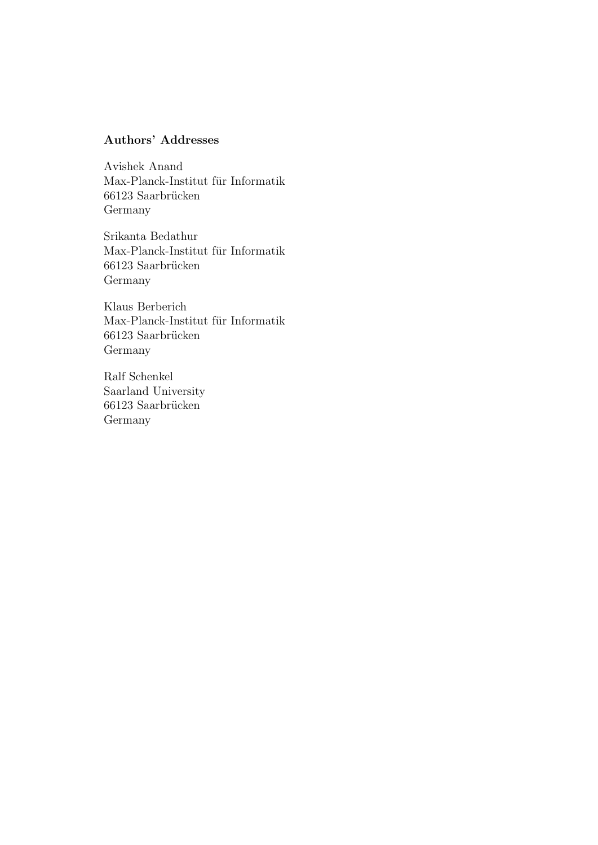#### Authors' Addresses

Avishek Anand Max-Planck-Institut für Informatik  $66123$  Saarbrücken Germany

Srikanta Bedathur Max-Planck-Institut für Informatik 66123 Saarbrücken Germany

Klaus Berberich Max-Planck-Institut für Informatik  $66123$  Saarbrücken Germany

Ralf Schenkel Saarland University 66123 Saarbrücken Germany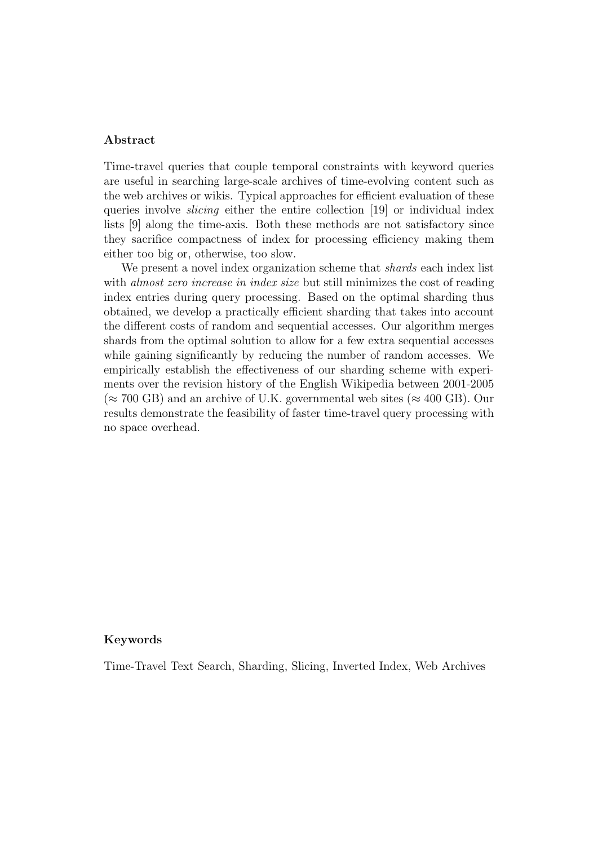#### Abstract

Time-travel queries that couple temporal constraints with keyword queries are useful in searching large-scale archives of time-evolving content such as the web archives or wikis. Typical approaches for efficient evaluation of these queries involve *slicing* either the entire collection [19] or individual index lists [9] along the time-axis. Both these methods are not satisfactory since they sacrifice compactness of index for processing efficiency making them either too big or, otherwise, too slow.

We present a novel index organization scheme that *shards* each index list with *almost zero increase in index size* but still minimizes the cost of reading index entries during query processing. Based on the optimal sharding thus obtained, we develop a practically efficient sharding that takes into account the different costs of random and sequential accesses. Our algorithm merges shards from the optimal solution to allow for a few extra sequential accesses while gaining significantly by reducing the number of random accesses. We empirically establish the effectiveness of our sharding scheme with experiments over the revision history of the English Wikipedia between 2001-2005  $(\approx 700 \text{ GB})$  and an archive of U.K. governmental web sites ( $\approx 400 \text{ GB}$ ). Our results demonstrate the feasibility of faster time-travel query processing with no space overhead.

#### Keywords

Time-Travel Text Search, Sharding, Slicing, Inverted Index, Web Archives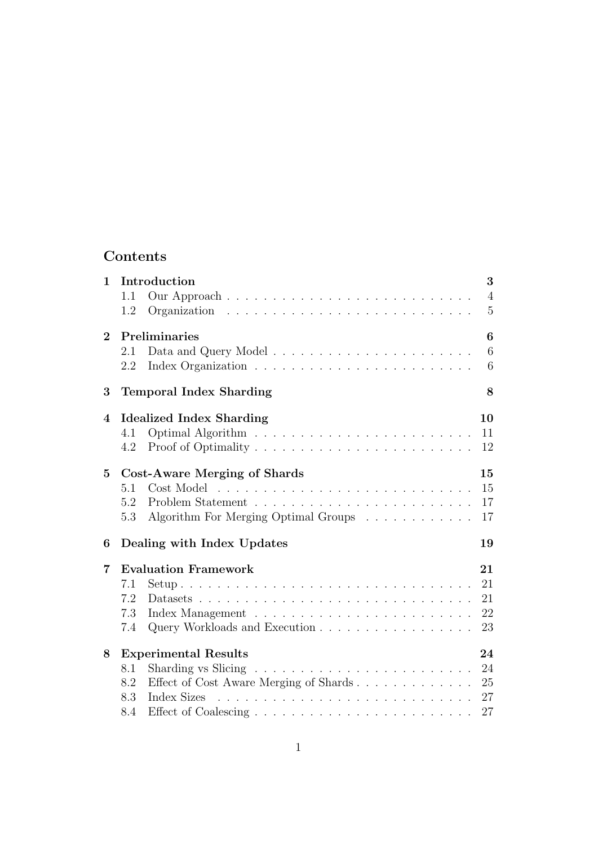### Contents

| $\mathbf 1$    | Introduction<br>1.1<br>$Organization \dots \dots \dots \dots \dots \dots \dots \dots \dots \dots \dots \dots$<br>1.2                                                                                                                                                                                                                            | 3<br>$\overline{4}$<br>$\overline{5}$ |
|----------------|-------------------------------------------------------------------------------------------------------------------------------------------------------------------------------------------------------------------------------------------------------------------------------------------------------------------------------------------------|---------------------------------------|
| $\mathbf{2}$   | Preliminaries<br>2.1<br>2.2                                                                                                                                                                                                                                                                                                                     | $\boldsymbol{6}$<br>6<br>6            |
| 3              | <b>Temporal Index Sharding</b>                                                                                                                                                                                                                                                                                                                  | 8                                     |
| $\overline{4}$ | <b>Idealized Index Sharding</b><br>4.1<br>4.2                                                                                                                                                                                                                                                                                                   | 10<br>11<br>12                        |
| $\overline{5}$ | <b>Cost-Aware Merging of Shards</b><br>Cost Model<br>5.1<br>and a construction of the construction of the construction of the construction of the construction of the construction of the construction of the construction of the construction of the construction of the construction of<br>5.2<br>Algorithm For Merging Optimal Groups<br>5.3 | 15<br>15<br>17<br>17                  |
| 6              | Dealing with Index Updates<br>19                                                                                                                                                                                                                                                                                                                |                                       |
| 7              | <b>Evaluation Framework</b><br>7.1<br>7.2<br>7.3<br>Query Workloads and Execution<br>7.4                                                                                                                                                                                                                                                        | 21<br>21<br>21<br>22<br>23            |
| 8              | <b>Experimental Results</b><br>Sharding vs Slicing $\ldots \ldots \ldots \ldots \ldots \ldots \ldots \ldots$<br>8.1<br>Effect of Cost Aware Merging of Shards<br>8.2<br>8.3<br>8.4                                                                                                                                                              | 24<br>24<br>25<br>27<br>27            |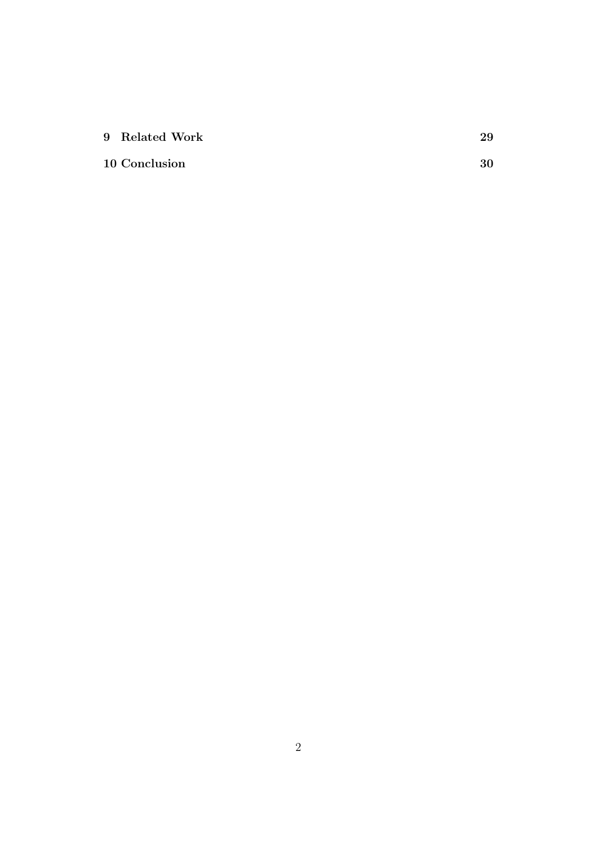| 9 Related Work |  |
|----------------|--|
|                |  |

### 10 Conclusion 30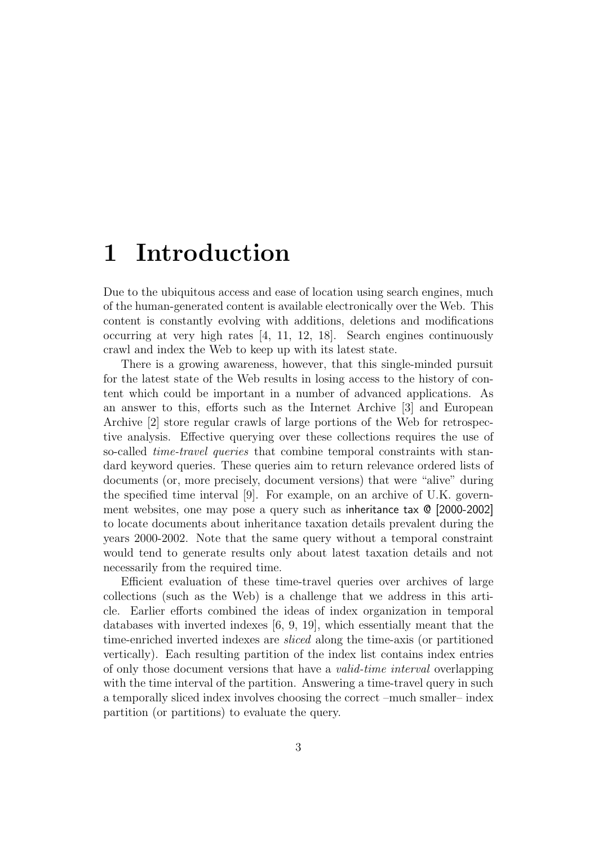## 1 Introduction

Due to the ubiquitous access and ease of location using search engines, much of the human-generated content is available electronically over the Web. This content is constantly evolving with additions, deletions and modifications occurring at very high rates [4, 11, 12, 18]. Search engines continuously crawl and index the Web to keep up with its latest state.

There is a growing awareness, however, that this single-minded pursuit for the latest state of the Web results in losing access to the history of content which could be important in a number of advanced applications. As an answer to this, efforts such as the Internet Archive [3] and European Archive [2] store regular crawls of large portions of the Web for retrospective analysis. Effective querying over these collections requires the use of so-called *time-travel queries* that combine temporal constraints with standard keyword queries. These queries aim to return relevance ordered lists of documents (or, more precisely, document versions) that were "alive" during the specified time interval [9]. For example, on an archive of U.K. government websites, one may pose a query such as inheritance tax @ [2000-2002] to locate documents about inheritance taxation details prevalent during the years 2000-2002. Note that the same query without a temporal constraint would tend to generate results only about latest taxation details and not necessarily from the required time.

Efficient evaluation of these time-travel queries over archives of large collections (such as the Web) is a challenge that we address in this article. Earlier efforts combined the ideas of index organization in temporal databases with inverted indexes [6, 9, 19], which essentially meant that the time-enriched inverted indexes are sliced along the time-axis (or partitioned vertically). Each resulting partition of the index list contains index entries of only those document versions that have a valid-time interval overlapping with the time interval of the partition. Answering a time-travel query in such a temporally sliced index involves choosing the correct –much smaller– index partition (or partitions) to evaluate the query.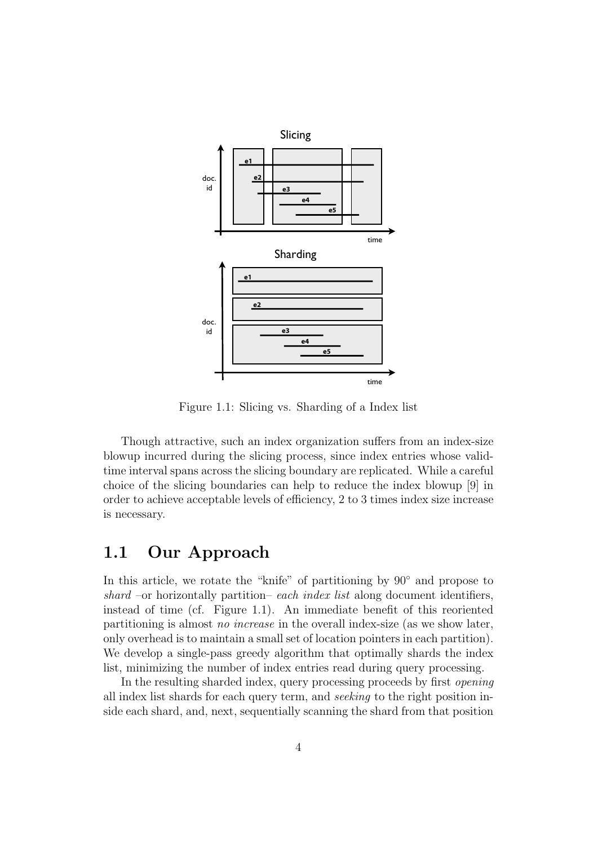

Figure 1.1: Slicing vs. Sharding of a Index list

Though attractive, such an index organization suffers from an index-size blowup incurred during the slicing process, since index entries whose validtime interval spans across the slicing boundary are replicated. While a careful choice of the slicing boundaries can help to reduce the index blowup [9] in order to achieve acceptable levels of efficiency, 2 to 3 times index size increase is necessary.

#### 1.1 Our Approach

In this article, we rotate the "knife" of partitioning by 90◦ and propose to shard –or horizontally partition– each index list along document identifiers, instead of time (cf. Figure 1.1). An immediate benefit of this reoriented partitioning is almost no increase in the overall index-size (as we show later, only overhead is to maintain a small set of location pointers in each partition). We develop a single-pass greedy algorithm that optimally shards the index list, minimizing the number of index entries read during query processing.

In the resulting sharded index, query processing proceeds by first opening all index list shards for each query term, and seeking to the right position inside each shard, and, next, sequentially scanning the shard from that position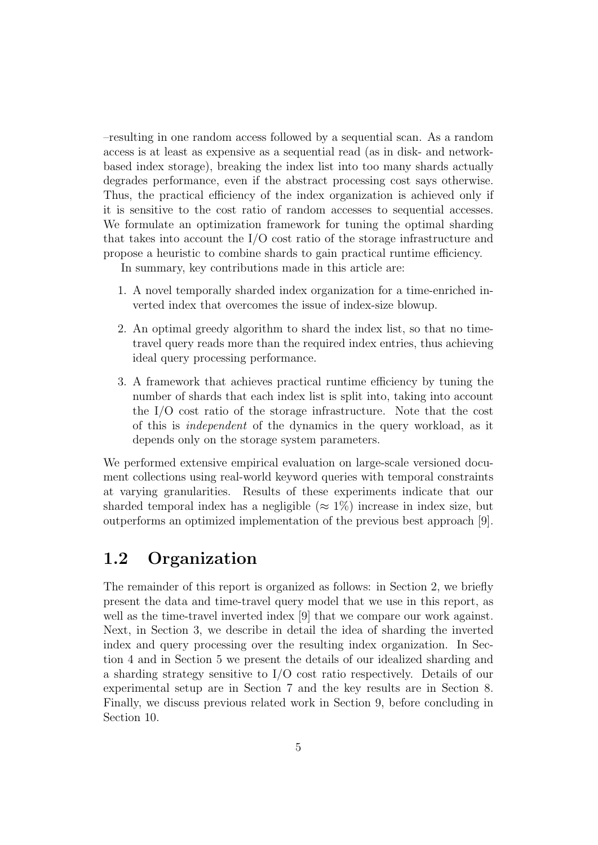–resulting in one random access followed by a sequential scan. As a random access is at least as expensive as a sequential read (as in disk- and networkbased index storage), breaking the index list into too many shards actually degrades performance, even if the abstract processing cost says otherwise. Thus, the practical efficiency of the index organization is achieved only if it is sensitive to the cost ratio of random accesses to sequential accesses. We formulate an optimization framework for tuning the optimal sharding that takes into account the I/O cost ratio of the storage infrastructure and propose a heuristic to combine shards to gain practical runtime efficiency.

In summary, key contributions made in this article are:

- 1. A novel temporally sharded index organization for a time-enriched inverted index that overcomes the issue of index-size blowup.
- 2. An optimal greedy algorithm to shard the index list, so that no timetravel query reads more than the required index entries, thus achieving ideal query processing performance.
- 3. A framework that achieves practical runtime efficiency by tuning the number of shards that each index list is split into, taking into account the I/O cost ratio of the storage infrastructure. Note that the cost of this is independent of the dynamics in the query workload, as it depends only on the storage system parameters.

We performed extensive empirical evaluation on large-scale versioned document collections using real-world keyword queries with temporal constraints at varying granularities. Results of these experiments indicate that our sharded temporal index has a negligible ( $\approx 1\%$ ) increase in index size, but outperforms an optimized implementation of the previous best approach [9].

### 1.2 Organization

The remainder of this report is organized as follows: in Section 2, we briefly present the data and time-travel query model that we use in this report, as well as the time-travel inverted index [9] that we compare our work against. Next, in Section 3, we describe in detail the idea of sharding the inverted index and query processing over the resulting index organization. In Section 4 and in Section 5 we present the details of our idealized sharding and a sharding strategy sensitive to I/O cost ratio respectively. Details of our experimental setup are in Section 7 and the key results are in Section 8. Finally, we discuss previous related work in Section 9, before concluding in Section 10.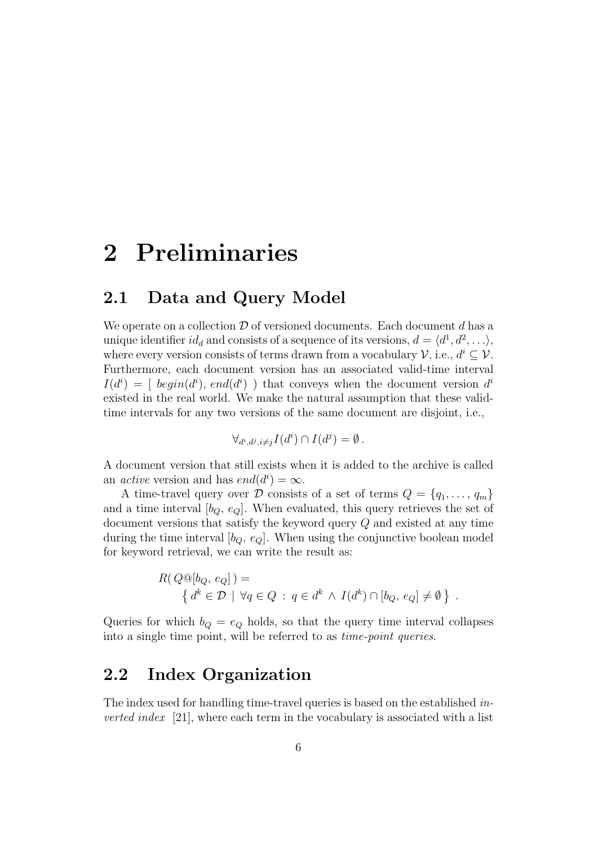# 2 Preliminaries

## 2.1 Data and Query Model

We operate on a collection  $\mathcal D$  of versioned documents. Each document d has a unique identifier  $id_d$  and consists of a sequence of its versions,  $d = \langle d^1, d^2, \ldots \rangle$ , where every version consists of terms drawn from a vocabulary  $\mathcal{V}$ , i.e.,  $d^i \subseteq \mathcal{V}$ . Furthermore, each document version has an associated valid-time interval  $I(d^i) = [begin{array}{l} begin(d^i), end(d^i) \end{array}]$  that conveys when the document version  $d^i$ existed in the real world. We make the natural assumption that these validtime intervals for any two versions of the same document are disjoint, i.e.,

$$
\forall_{d^i,d^j,i\neq j} I(d^i) \cap I(d^j) = \emptyset.
$$

A document version that still exists when it is added to the archive is called an *active* version and has  $end(d^i) = \infty$ .

A time-travel query over D consists of a set of terms  $Q = \{q_1, \ldots, q_m\}$ and a time interval  $[b_Q, e_Q]$ . When evaluated, this query retrieves the set of document versions that satisfy the keyword query Q and existed at any time during the time interval  $[b_0, e_0]$ . When using the conjunctive boolean model for keyword retrieval, we can write the result as:

$$
R(Q@[b_Q, e_Q]) = \{ d^k \in \mathcal{D} \mid \forall q \in Q \; : \; q \in d^k \land I(d^k) \cap [b_Q, e_Q] \neq \emptyset \}
$$

.

Queries for which  $b_Q = e_Q$  holds, so that the query time interval collapses into a single time point, will be referred to as time-point queries.

#### 2.2 Index Organization

The index used for handling time-travel queries is based on the established in*verted index* [21], where each term in the vocabulary is associated with a list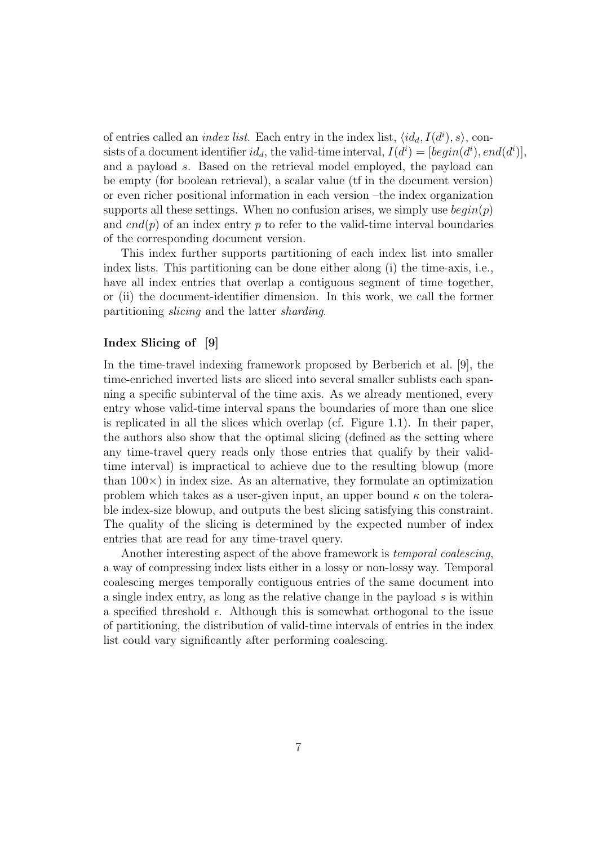of entries called an *index list*. Each entry in the index list,  $\langle id_d, I(d^i), s \rangle$ , consists of a document identifier  $id_d$ , the valid-time interval,  $I(d^i) = [begin(d^i), end(d^i)],$ and a payload s. Based on the retrieval model employed, the payload can be empty (for boolean retrieval), a scalar value (tf in the document version) or even richer positional information in each version –the index organization supports all these settings. When no confusion arises, we simply use  $begin(p)$ and end(p) of an index entry p to refer to the valid-time interval boundaries of the corresponding document version.

This index further supports partitioning of each index list into smaller index lists. This partitioning can be done either along (i) the time-axis, i.e., have all index entries that overlap a contiguous segment of time together, or (ii) the document-identifier dimension. In this work, we call the former partitioning slicing and the latter sharding.

#### Index Slicing of [9]

In the time-travel indexing framework proposed by Berberich et al. [9], the time-enriched inverted lists are sliced into several smaller sublists each spanning a specific subinterval of the time axis. As we already mentioned, every entry whose valid-time interval spans the boundaries of more than one slice is replicated in all the slices which overlap (cf. Figure 1.1). In their paper, the authors also show that the optimal slicing (defined as the setting where any time-travel query reads only those entries that qualify by their validtime interval) is impractical to achieve due to the resulting blowup (more than  $100\times$ ) in index size. As an alternative, they formulate an optimization problem which takes as a user-given input, an upper bound  $\kappa$  on the tolerable index-size blowup, and outputs the best slicing satisfying this constraint. The quality of the slicing is determined by the expected number of index entries that are read for any time-travel query.

Another interesting aspect of the above framework is temporal coalescing, a way of compressing index lists either in a lossy or non-lossy way. Temporal coalescing merges temporally contiguous entries of the same document into a single index entry, as long as the relative change in the payload s is within a specified threshold  $\epsilon$ . Although this is somewhat orthogonal to the issue of partitioning, the distribution of valid-time intervals of entries in the index list could vary significantly after performing coalescing.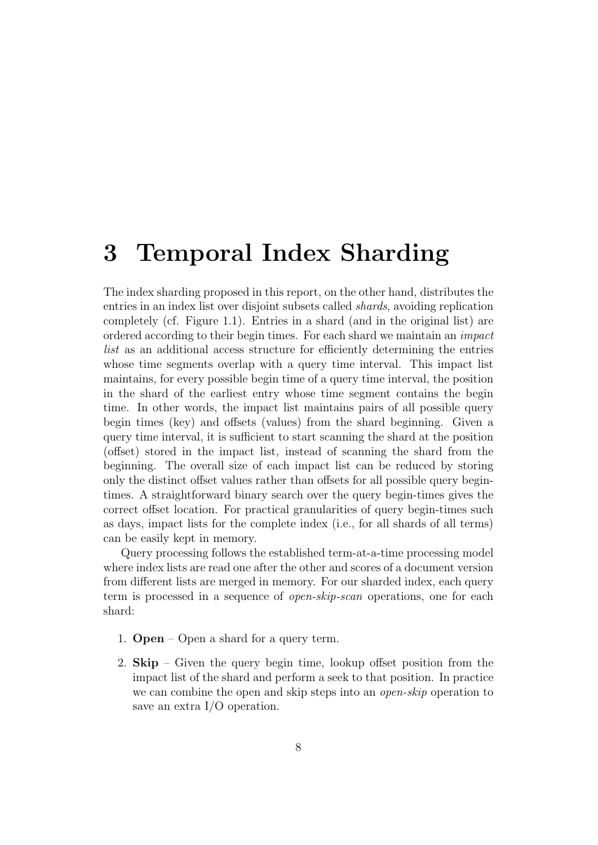## 3 Temporal Index Sharding

The index sharding proposed in this report, on the other hand, distributes the entries in an index list over disjoint subsets called shards, avoiding replication completely (cf. Figure 1.1). Entries in a shard (and in the original list) are ordered according to their begin times. For each shard we maintain an impact list as an additional access structure for efficiently determining the entries whose time segments overlap with a query time interval. This impact list maintains, for every possible begin time of a query time interval, the position in the shard of the earliest entry whose time segment contains the begin time. In other words, the impact list maintains pairs of all possible query begin times (key) and offsets (values) from the shard beginning. Given a query time interval, it is sufficient to start scanning the shard at the position (offset) stored in the impact list, instead of scanning the shard from the beginning. The overall size of each impact list can be reduced by storing only the distinct offset values rather than offsets for all possible query begintimes. A straightforward binary search over the query begin-times gives the correct offset location. For practical granularities of query begin-times such as days, impact lists for the complete index (i.e., for all shards of all terms) can be easily kept in memory.

Query processing follows the established term-at-a-time processing model where index lists are read one after the other and scores of a document version from different lists are merged in memory. For our sharded index, each query term is processed in a sequence of open-skip-scan operations, one for each shard:

- 1. Open Open a shard for a query term.
- 2. Skip Given the query begin time, lookup offset position from the impact list of the shard and perform a seek to that position. In practice we can combine the open and skip steps into an *open-skip* operation to save an extra I/O operation.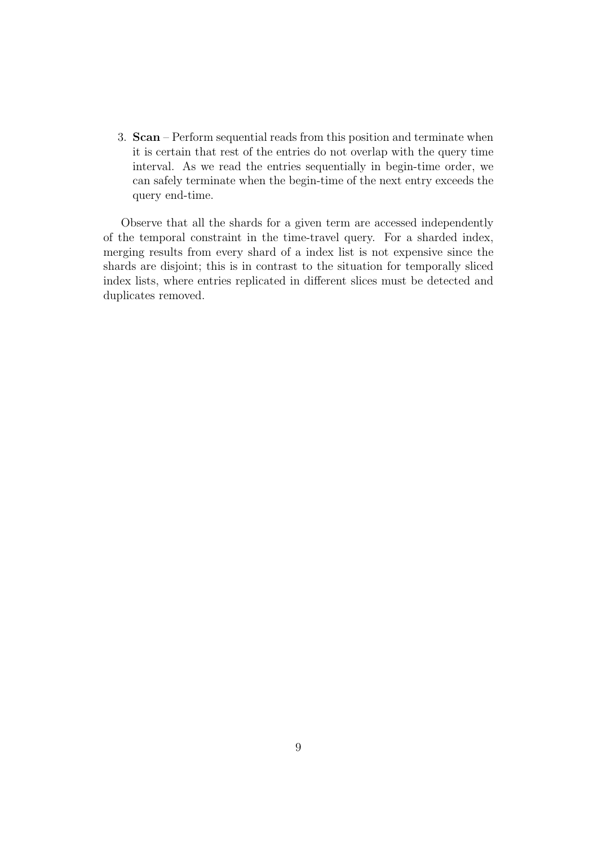3. Scan – Perform sequential reads from this position and terminate when it is certain that rest of the entries do not overlap with the query time interval. As we read the entries sequentially in begin-time order, we can safely terminate when the begin-time of the next entry exceeds the query end-time.

Observe that all the shards for a given term are accessed independently of the temporal constraint in the time-travel query. For a sharded index, merging results from every shard of a index list is not expensive since the shards are disjoint; this is in contrast to the situation for temporally sliced index lists, where entries replicated in different slices must be detected and duplicates removed.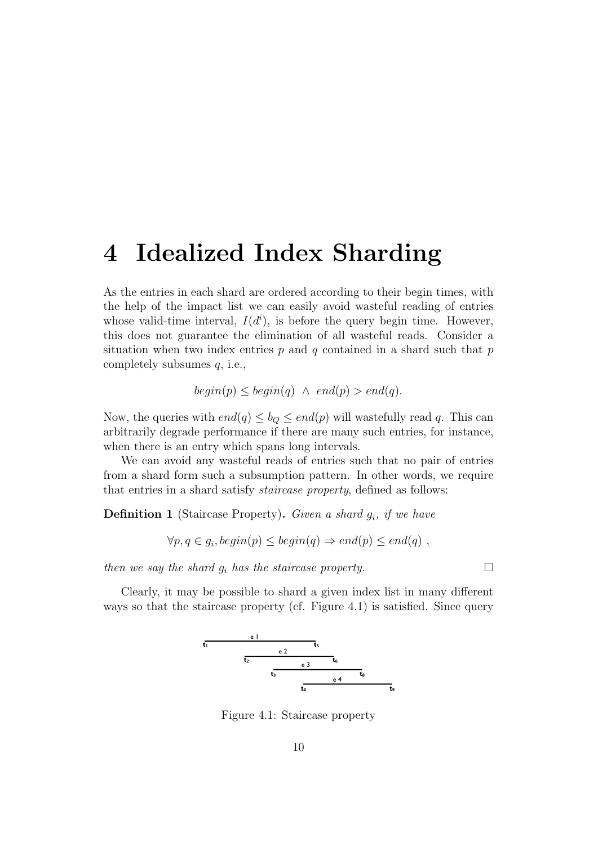## 4 Idealized Index Sharding

As the entries in each shard are ordered according to their begin times, with the help of the impact list we can easily avoid wasteful reading of entries whose valid-time interval,  $I(d^i)$ , is before the query begin time. However, this does not guarantee the elimination of all wasteful reads. Consider a situation when two index entries  $p$  and  $q$  contained in a shard such that  $p$ completely subsumes  $q$ , i.e.,

$$
begin(p) \leq begin(q) \ \wedge \ end(p) > end(q).
$$

Now, the queries with  $end(q) \leq b_Q \leq end(p)$  will wastefully read q. This can arbitrarily degrade performance if there are many such entries, for instance, when there is an entry which spans long intervals.

We can avoid any wasteful reads of entries such that no pair of entries from a shard form such a subsumption pattern. In other words, we require that entries in a shard satisfy staircase property, defined as follows:

**Definition 1** (Staircase Property). Given a shard  $g_i$ , if we have

 $\forall p, q \in g_i, begin(p) \leq begin(q) \Rightarrow end(p) \leq end(q)$ ,

then we say the shard  $g_i$  has the staircase property.

Clearly, it may be possible to shard a given index list in many different ways so that the staircase property (cf. Figure 4.1) is satisfied. Since query



Figure 4.1: Staircase property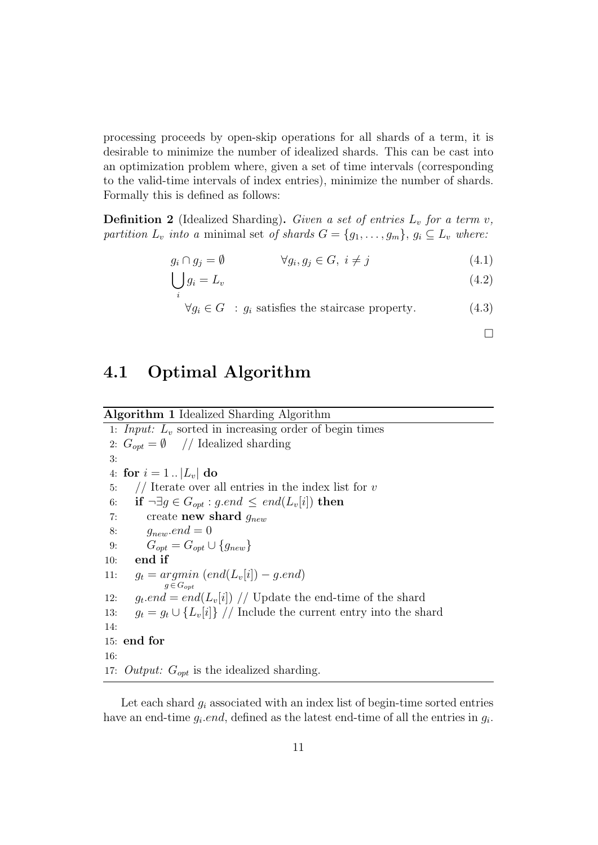processing proceeds by open-skip operations for all shards of a term, it is desirable to minimize the number of idealized shards. This can be cast into an optimization problem where, given a set of time intervals (corresponding to the valid-time intervals of index entries), minimize the number of shards. Formally this is defined as follows:

**Definition 2** (Idealized Sharding). Given a set of entries  $L_v$  for a term v, partition  $L_v$  into a minimal set of shards  $G = \{g_1, \ldots, g_m\}, g_i \subseteq L_v$  where:

$$
g_i \cap g_j = \emptyset \qquad \forall g_i, g_j \in G, \ i \neq j \tag{4.1}
$$

$$
\bigcup_{i} g_i = L_v \tag{4.2}
$$

$$
\forall g_i \in G \; : \; g_i \text{ satisfies the staircase property.} \tag{4.3}
$$

 $\Box$ 

### 4.1 Optimal Algorithm

#### Algorithm 1 Idealized Sharding Algorithm

1: Input:  $L_v$  sorted in increasing order of begin times 2:  $G_{\text{opt}} = \emptyset$  // Idealized sharding 3: 4: for  $i = 1$ ...  $|L_v|$  do 5:  $//$  Iterate over all entries in the index list for v 6: if  $\neg \exists g \in G_{\text{out}} : g \text{ and } \leq \text{ end}(L_v[i])$  then 7: create new shard  $g_{new}$ 8:  $g_{new}.end = 0$ 9:  $G_{opt} = G_{opt} \cup \{g_{new}\}\$ 10: end if 11:  $g_t = argmin (end(L_v[i]) - g.end)$  $g \in G_{opt}$ 12:  $g_t$ .end = end(L<sub>v</sub>[i]) // Update the end-time of the shard 13:  $q_t = q_t \cup \{L_v[i]\}$  // Include the current entry into the shard 14: 15: end for 16: 17: Output:  $G_{opt}$  is the idealized sharding.

Let each shard  $g_i$  associated with an index list of begin-time sorted entries have an end-time  $g_i$  *end*, defined as the latest end-time of all the entries in  $g_i$ .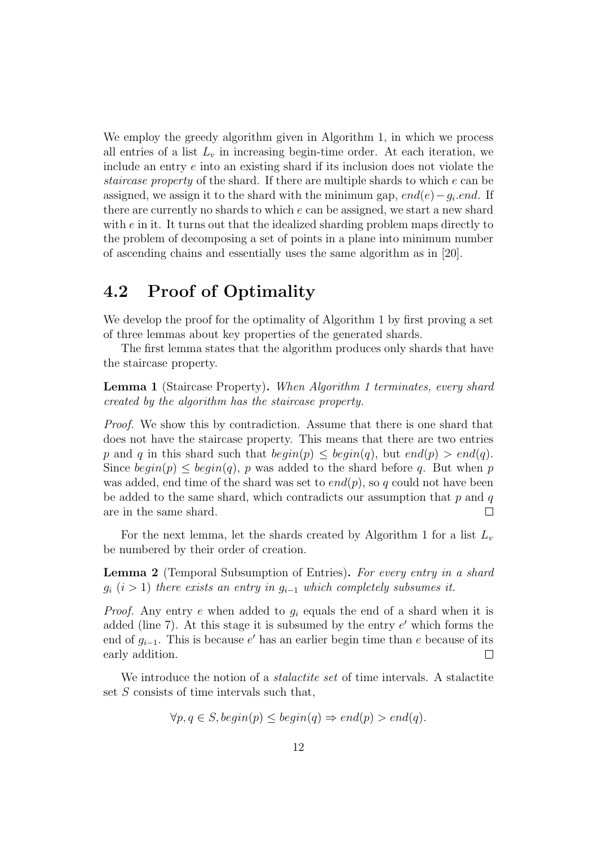We employ the greedy algorithm given in Algorithm 1, in which we process all entries of a list  $L_v$  in increasing begin-time order. At each iteration, we include an entry e into an existing shard if its inclusion does not violate the staircase property of the shard. If there are multiple shards to which e can be assigned, we assign it to the shard with the minimum gap,  $end(e) - g_i$  end. If there are currently no shards to which e can be assigned, we start a new shard with  $e$  in it. It turns out that the idealized sharding problem maps directly to the problem of decomposing a set of points in a plane into minimum number of ascending chains and essentially uses the same algorithm as in [20].

### 4.2 Proof of Optimality

We develop the proof for the optimality of Algorithm 1 by first proving a set of three lemmas about key properties of the generated shards.

The first lemma states that the algorithm produces only shards that have the staircase property.

Lemma 1 (Staircase Property). When Algorithm 1 terminates, every shard created by the algorithm has the staircase property.

Proof. We show this by contradiction. Assume that there is one shard that does not have the staircase property. This means that there are two entries p and q in this shard such that  $begin(p) \leq \text{begin}(q)$ , but  $\text{end}(p) > \text{end}(q)$ . Since  $begin(p) \leq begin(q)$ , p was added to the shard before q. But when p was added, end time of the shard was set to  $end(p)$ , so q could not have been be added to the same shard, which contradicts our assumption that  $p$  and  $q$ are in the same shard. П

For the next lemma, let the shards created by Algorithm 1 for a list  $L_v$ be numbered by their order of creation.

Lemma 2 (Temporal Subsumption of Entries). For every entry in a shard  $g_i$  (i > 1) there exists an entry in  $g_{i-1}$  which completely subsumes it.

*Proof.* Any entry e when added to  $g_i$  equals the end of a shard when it is added (line  $7$ ). At this stage it is subsumed by the entry  $e'$  which forms the end of  $g_{i-1}$ . This is because e' has an earlier begin time than e because of its early addition.  $\Box$ 

We introduce the notion of a *stalactite set* of time intervals. A stalactite set S consists of time intervals such that,

$$
\forall p, q \in S, begin(p) \le begin(q) \Rightarrow end(p) > end(q).
$$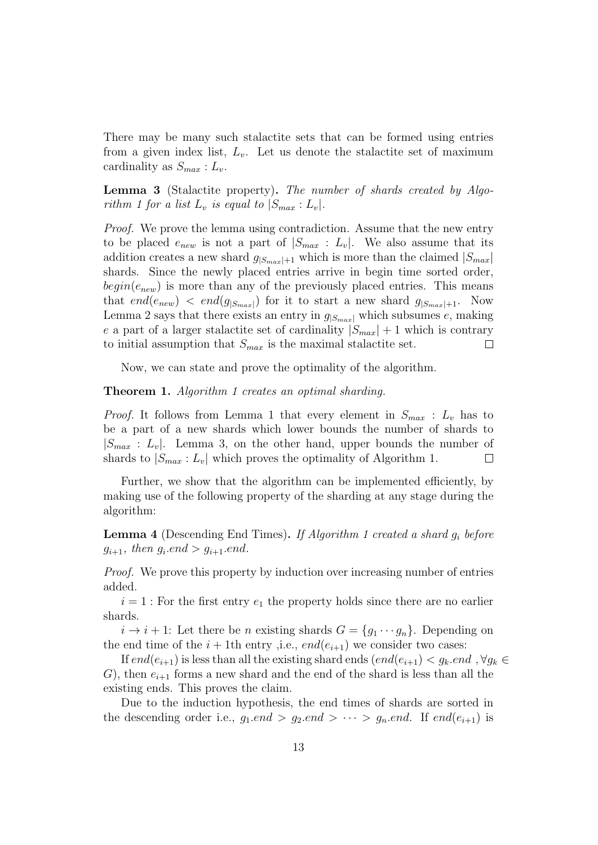There may be many such stalactite sets that can be formed using entries from a given index list,  $L_v$ . Let us denote the stalactite set of maximum cardinality as  $S_{max}: L_v$ .

Lemma 3 (Stalactite property). The number of shards created by Algorithm 1 for a list  $L_v$  is equal to  $|S_{max}: L_v|$ .

Proof. We prove the lemma using contradiction. Assume that the new entry to be placed  $e_{new}$  is not a part of  $|S_{max}: L_v|$ . We also assume that its addition creates a new shard  $g_{|S_{max}|+1}$  which is more than the claimed  $|S_{max}|$ shards. Since the newly placed entries arrive in begin time sorted order,  $begin(e_{new})$  is more than any of the previously placed entries. This means that end( $e_{new}$ )  $\lt end(g_{|S_{max}|})$  for it to start a new shard  $g_{|S_{max}|+1}$ . Now Lemma 2 says that there exists an entry in  $g_{|S_{max}|}$  which subsumes e, making e a part of a larger stalactive set of cardinality  $|S_{max}| + 1$  which is contrary to initial assumption that  $S_{max}$  is the maximal stalactite set.  $\Box$ 

Now, we can state and prove the optimality of the algorithm.

#### Theorem 1. Algorithm 1 creates an optimal sharding.

*Proof.* It follows from Lemma 1 that every element in  $S_{max}$ :  $L_v$  has to be a part of a new shards which lower bounds the number of shards to  $|S_{max} : L_v|$ . Lemma 3, on the other hand, upper bounds the number of shards to  $|S_{max}: L_v|$  which proves the optimality of Algorithm 1.  $\Box$ 

Further, we show that the algorithm can be implemented efficiently, by making use of the following property of the sharding at any stage during the algorithm:

**Lemma 4** (Descending End Times). If Algorithm 1 created a shard  $g_i$  before  $g_{i+1}$ , then  $g_i$  end  $> g_{i+1}$  end.

Proof. We prove this property by induction over increasing number of entries added.

 $i = 1$ : For the first entry  $e_1$  the property holds since there are no earlier shards.

 $i \to i + 1$ : Let there be *n* existing shards  $G = \{g_1 \cdots g_n\}$ . Depending on the end time of the  $i+1$ th entry ,i.e.,  $end(e_{i+1})$  we consider two cases:

If  $end(e_{i+1})$  is less than all the existing shard ends  $(end(e_{i+1}) < g_k$  end,  $\forall g_k \in$ G), then  $e_{i+1}$  forms a new shard and the end of the shard is less than all the existing ends. This proves the claim.

Due to the induction hypothesis, the end times of shards are sorted in the descending order i.e.,  $g_1$ *end* >  $g_2$ *end* >  $\cdots$  >  $g_n$ *end.* If end $(e_{i+1})$  is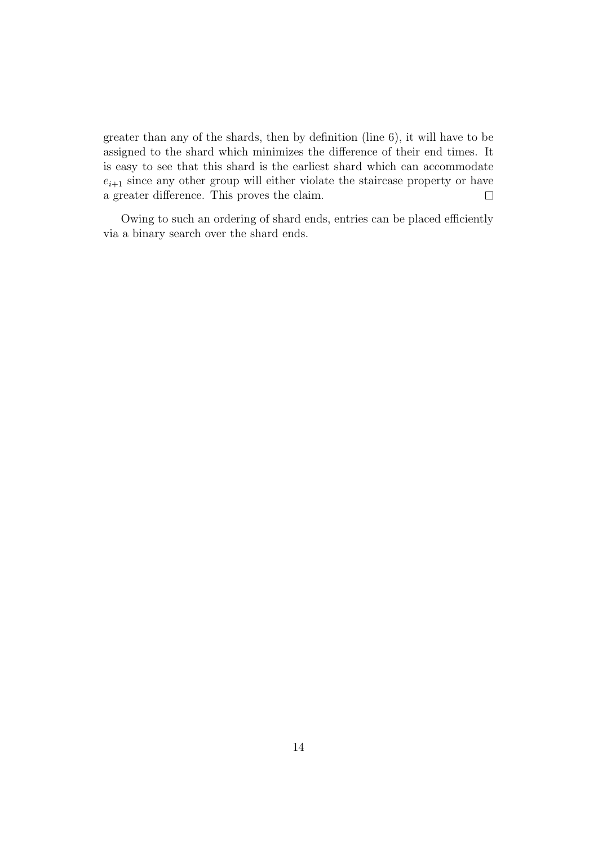greater than any of the shards, then by definition (line 6), it will have to be assigned to the shard which minimizes the difference of their end times. It is easy to see that this shard is the earliest shard which can accommodate  $e_{i+1}$  since any other group will either violate the staircase property or have a greater difference. This proves the claim.  $\Box$ 

Owing to such an ordering of shard ends, entries can be placed efficiently via a binary search over the shard ends.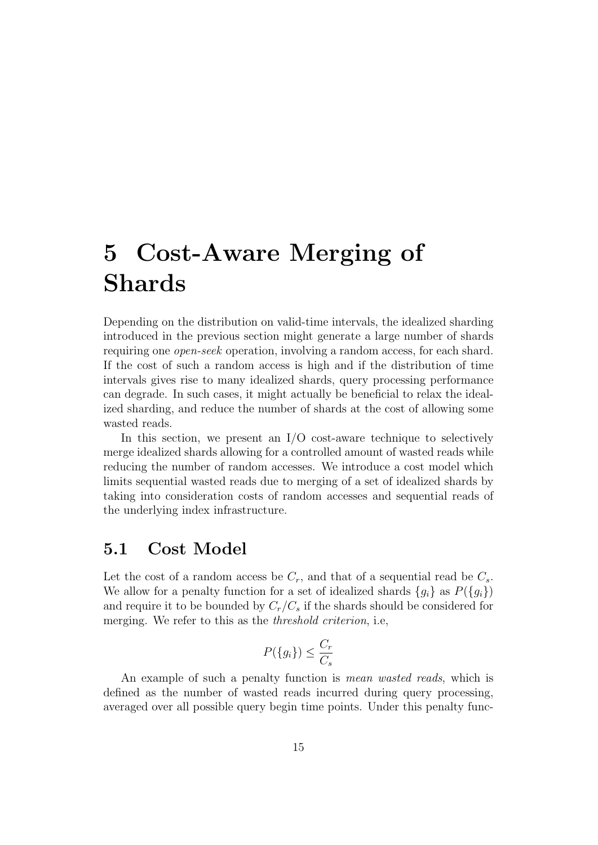# 5 Cost-Aware Merging of Shards

Depending on the distribution on valid-time intervals, the idealized sharding introduced in the previous section might generate a large number of shards requiring one open-seek operation, involving a random access, for each shard. If the cost of such a random access is high and if the distribution of time intervals gives rise to many idealized shards, query processing performance can degrade. In such cases, it might actually be beneficial to relax the idealized sharding, and reduce the number of shards at the cost of allowing some wasted reads.

In this section, we present an  $I/O$  cost-aware technique to selectively merge idealized shards allowing for a controlled amount of wasted reads while reducing the number of random accesses. We introduce a cost model which limits sequential wasted reads due to merging of a set of idealized shards by taking into consideration costs of random accesses and sequential reads of the underlying index infrastructure.

### 5.1 Cost Model

Let the cost of a random access be  $C_r$ , and that of a sequential read be  $C_s$ . We allow for a penalty function for a set of idealized shards  ${g_i}$  as  $P({g_i})$ and require it to be bounded by  $C_r/C_s$  if the shards should be considered for merging. We refer to this as the threshold criterion, i.e,

$$
P(\{g_i\}) \le \frac{C_r}{C_s}
$$

An example of such a penalty function is *mean wasted reads*, which is defined as the number of wasted reads incurred during query processing, averaged over all possible query begin time points. Under this penalty func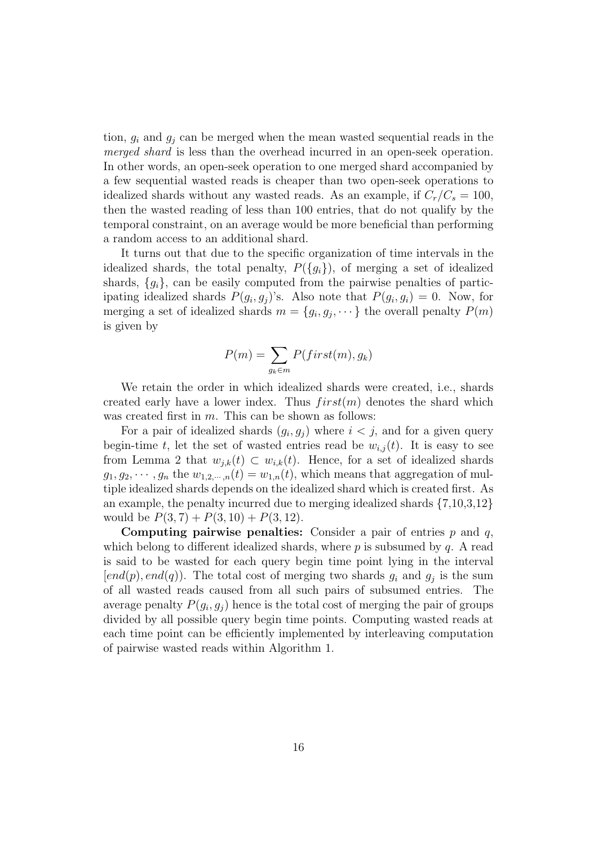tion,  $g_i$  and  $g_j$  can be merged when the mean wasted sequential reads in the merged shard is less than the overhead incurred in an open-seek operation. In other words, an open-seek operation to one merged shard accompanied by a few sequential wasted reads is cheaper than two open-seek operations to idealized shards without any wasted reads. As an example, if  $C_r/C_s = 100$ , then the wasted reading of less than 100 entries, that do not qualify by the temporal constraint, on an average would be more beneficial than performing a random access to an additional shard.

It turns out that due to the specific organization of time intervals in the idealized shards, the total penalty,  $P({q_i})$ , of merging a set of idealized shards,  $\{g_i\}$ , can be easily computed from the pairwise penalties of participating idealized shards  $P(g_i, g_j)$ 's. Also note that  $P(g_i, g_i) = 0$ . Now, for merging a set of idealized shards  $m = \{g_i, g_j, \dots\}$  the overall penalty  $P(m)$ is given by

$$
P(m) = \sum_{g_k \in m} P(first(m), g_k)
$$

We retain the order in which idealized shards were created, i.e., shards created early have a lower index. Thus  $first(m)$  denotes the shard which was created first in  $m$ . This can be shown as follows:

For a pair of idealized shards  $(g_i, g_j)$  where  $i < j$ , and for a given query begin-time t, let the set of wasted entries read be  $w_{i,j}(t)$ . It is easy to see from Lemma 2 that  $w_{j,k}(t) \subset w_{i,k}(t)$ . Hence, for a set of idealized shards  $g_1, g_2, \dots, g_n$  the  $w_{1,2,\dots,n}(t) = w_{1,n}(t)$ , which means that aggregation of multiple idealized shards depends on the idealized shard which is created first. As an example, the penalty incurred due to merging idealized shards  $\{7,10,3,12\}$ would be  $P(3, 7) + P(3, 10) + P(3, 12)$ .

**Computing pairwise penalties:** Consider a pair of entries  $p$  and  $q$ , which belong to different idealized shards, where  $p$  is subsumed by  $q$ . A read is said to be wasted for each query begin time point lying in the interval  $[end(p), end(q)).$  The total cost of merging two shards  $g_i$  and  $g_j$  is the sum of all wasted reads caused from all such pairs of subsumed entries. The average penalty  $P(g_i, g_j)$  hence is the total cost of merging the pair of groups divided by all possible query begin time points. Computing wasted reads at each time point can be efficiently implemented by interleaving computation of pairwise wasted reads within Algorithm 1.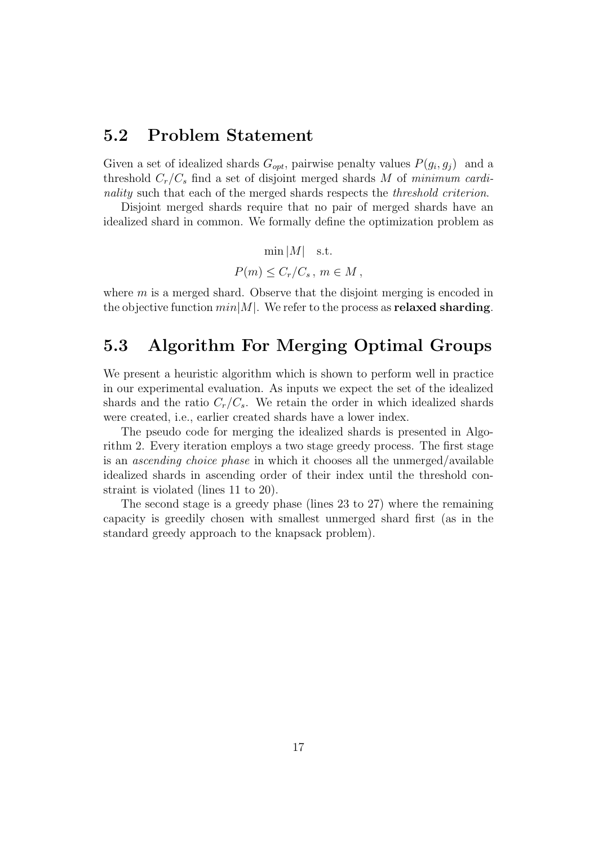#### 5.2 Problem Statement

Given a set of idealized shards  $G_{opt}$ , pairwise penalty values  $P(g_i, g_j)$  and a threshold  $C_r/C_s$  find a set of disjoint merged shards M of minimum cardinality such that each of the merged shards respects the *threshold criterion*.

Disjoint merged shards require that no pair of merged shards have an idealized shard in common. We formally define the optimization problem as

$$
\min |M| \quad \text{s.t.}
$$
  

$$
P(m) \leq C_r/C_s, \ m \in M,
$$

where  $m$  is a merged shard. Observe that the disjoint merging is encoded in the objective function  $min|M|$ . We refer to the process as **relaxed sharding**.

### 5.3 Algorithm For Merging Optimal Groups

We present a heuristic algorithm which is shown to perform well in practice in our experimental evaluation. As inputs we expect the set of the idealized shards and the ratio  $C_r/C_s$ . We retain the order in which idealized shards were created, i.e., earlier created shards have a lower index.

The pseudo code for merging the idealized shards is presented in Algorithm 2. Every iteration employs a two stage greedy process. The first stage is an ascending choice phase in which it chooses all the unmerged/available idealized shards in ascending order of their index until the threshold constraint is violated (lines 11 to 20).

The second stage is a greedy phase (lines 23 to 27) where the remaining capacity is greedily chosen with smallest unmerged shard first (as in the standard greedy approach to the knapsack problem).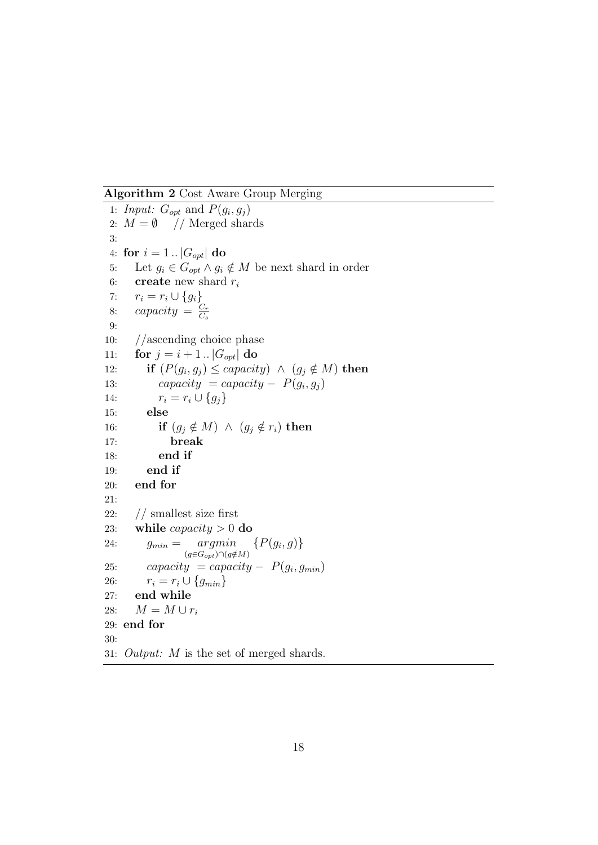Algorithm 2 Cost Aware Group Merging

1: Input:  $G_{opt}$  and  $P(g_i, g_j)$ 2:  $M = \emptyset$  // Merged shards 3: 4: for  $i = 1$ ..  $|G_{opt}|$  do 5: Let  $g_i \in G_{opt} \wedge g_i \notin M$  be next shard in order 6: **create** new shard  $r_i$ 7:  $r_i = r_i \cup \{g_i\}$ 8: capacity  $=\frac{C_r}{C_r}$  $C_s$ 9: 10: //ascending choice phase 11: **for**  $j = i + 1$ .  $|G_{opt}|$  do 12: **if**  $(P(g_i, g_j) \leq capacity) \land (g_j \notin M)$  then 13: capacity = capacity –  $P(g_i, g_j)$ 14:  $r_i = r_i \cup \{g_j\}$ 15: else 16: **if**  $(g_j \notin M) \land (g_j \notin r_i)$  then 17: break 18: end if 19: end if 20: end for 21: 22: // smallest size first 23: while *capacity*  $> 0$  do 24:  $g_{min} = argmin$  $(g{\in}G_{opt})\cap (g{\notin}M)$  $\{P(g_i, g)\}\$ 25: capacity = capacity –  $P(g_i, g_{min})$ 26:  $r_i = r_i \cup \{g_{min}\}\$ 27: end while 28:  $M = M \cup r_i$ 29: end for 30: 31: Output: M is the set of merged shards.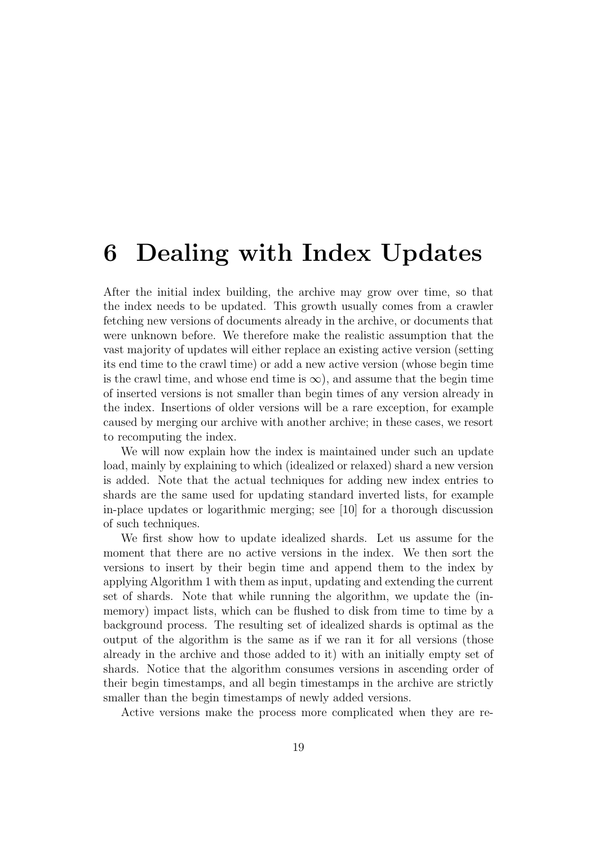# 6 Dealing with Index Updates

After the initial index building, the archive may grow over time, so that the index needs to be updated. This growth usually comes from a crawler fetching new versions of documents already in the archive, or documents that were unknown before. We therefore make the realistic assumption that the vast majority of updates will either replace an existing active version (setting its end time to the crawl time) or add a new active version (whose begin time is the crawl time, and whose end time is  $\infty$ ), and assume that the begin time of inserted versions is not smaller than begin times of any version already in the index. Insertions of older versions will be a rare exception, for example caused by merging our archive with another archive; in these cases, we resort to recomputing the index.

We will now explain how the index is maintained under such an update load, mainly by explaining to which (idealized or relaxed) shard a new version is added. Note that the actual techniques for adding new index entries to shards are the same used for updating standard inverted lists, for example in-place updates or logarithmic merging; see [10] for a thorough discussion of such techniques.

We first show how to update idealized shards. Let us assume for the moment that there are no active versions in the index. We then sort the versions to insert by their begin time and append them to the index by applying Algorithm 1 with them as input, updating and extending the current set of shards. Note that while running the algorithm, we update the (inmemory) impact lists, which can be flushed to disk from time to time by a background process. The resulting set of idealized shards is optimal as the output of the algorithm is the same as if we ran it for all versions (those already in the archive and those added to it) with an initially empty set of shards. Notice that the algorithm consumes versions in ascending order of their begin timestamps, and all begin timestamps in the archive are strictly smaller than the begin timestamps of newly added versions.

Active versions make the process more complicated when they are re-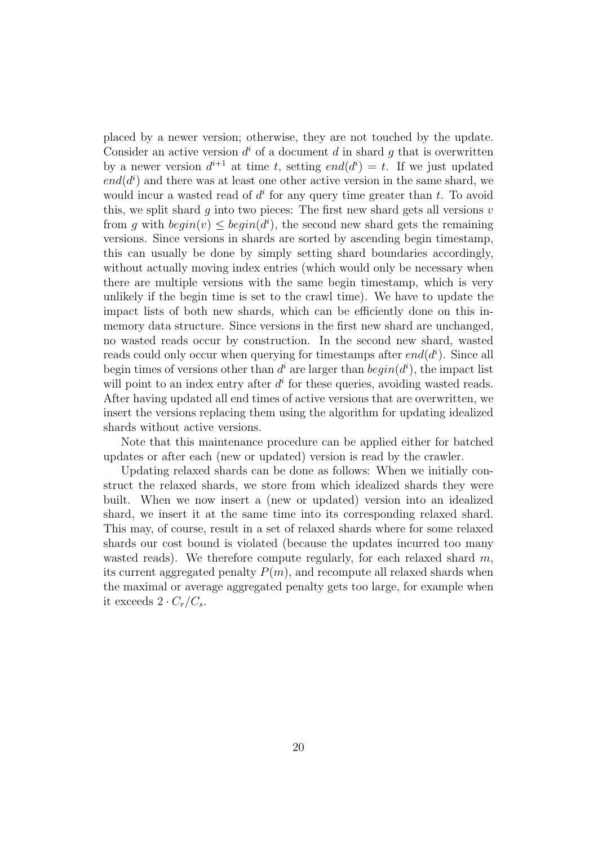placed by a newer version; otherwise, they are not touched by the update. Consider an active version  $d^i$  of a document d in shard g that is overwritten by a newer version  $d^{i+1}$  at time t, setting  $end(d^i) = t$ . If we just updated  $end(d<sup>i</sup>)$  and there was at least one other active version in the same shard, we would incur a wasted read of  $d^i$  for any query time greater than t. To avoid this, we split shard g into two pieces: The first new shard gets all versions  $v$ from g with  $begin(v) \leq begin(d^i)$ , the second new shard gets the remaining versions. Since versions in shards are sorted by ascending begin timestamp, this can usually be done by simply setting shard boundaries accordingly, without actually moving index entries (which would only be necessary when there are multiple versions with the same begin timestamp, which is very unlikely if the begin time is set to the crawl time). We have to update the impact lists of both new shards, which can be efficiently done on this inmemory data structure. Since versions in the first new shard are unchanged, no wasted reads occur by construction. In the second new shard, wasted reads could only occur when querying for timestamps after  $end(d<sup>i</sup>)$ . Since all begin times of versions other than  $d^i$  are larger than  $begin(d^i)$ , the impact list will point to an index entry after  $d^i$  for these queries, avoiding wasted reads. After having updated all end times of active versions that are overwritten, we insert the versions replacing them using the algorithm for updating idealized shards without active versions.

Note that this maintenance procedure can be applied either for batched updates or after each (new or updated) version is read by the crawler.

Updating relaxed shards can be done as follows: When we initially construct the relaxed shards, we store from which idealized shards they were built. When we now insert a (new or updated) version into an idealized shard, we insert it at the same time into its corresponding relaxed shard. This may, of course, result in a set of relaxed shards where for some relaxed shards our cost bound is violated (because the updates incurred too many wasted reads). We therefore compute regularly, for each relaxed shard  $m$ , its current aggregated penalty  $P(m)$ , and recompute all relaxed shards when the maximal or average aggregated penalty gets too large, for example when it exceeds  $2 \cdot C_r/C_s$ .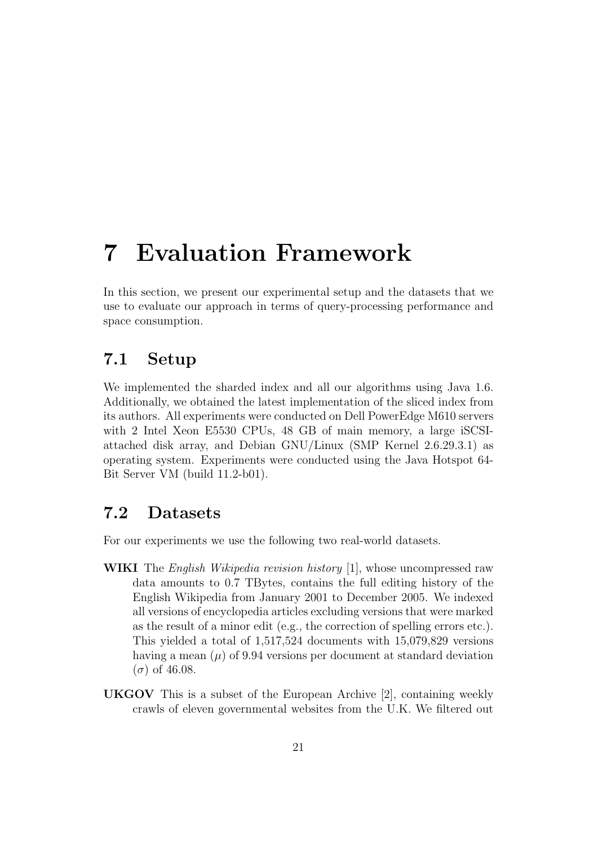# 7 Evaluation Framework

In this section, we present our experimental setup and the datasets that we use to evaluate our approach in terms of query-processing performance and space consumption.

### 7.1 Setup

We implemented the sharded index and all our algorithms using Java 1.6. Additionally, we obtained the latest implementation of the sliced index from its authors. All experiments were conducted on Dell PowerEdge M610 servers with 2 Intel Xeon E5530 CPUs, 48 GB of main memory, a large iSCSIattached disk array, and Debian GNU/Linux (SMP Kernel 2.6.29.3.1) as operating system. Experiments were conducted using the Java Hotspot 64- Bit Server VM (build 11.2-b01).

#### 7.2 Datasets

For our experiments we use the following two real-world datasets.

- WIKI The *English Wikipedia revision history* [1], whose uncompressed raw data amounts to 0.7 TBytes, contains the full editing history of the English Wikipedia from January 2001 to December 2005. We indexed all versions of encyclopedia articles excluding versions that were marked as the result of a minor edit (e.g., the correction of spelling errors etc.). This yielded a total of 1,517,524 documents with 15,079,829 versions having a mean  $(\mu)$  of 9.94 versions per document at standard deviation  $(\sigma)$  of 46.08.
- UKGOV This is a subset of the European Archive [2], containing weekly crawls of eleven governmental websites from the U.K. We filtered out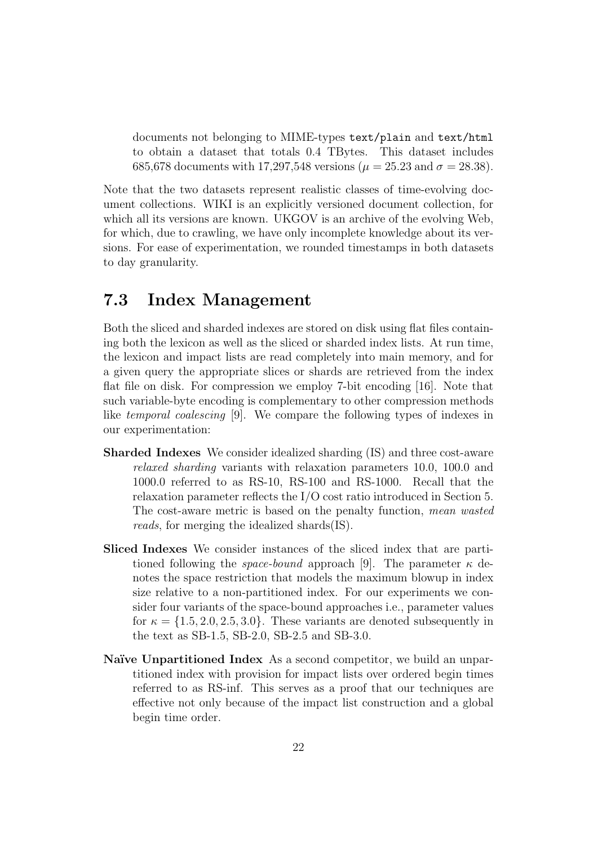documents not belonging to MIME-types text/plain and text/html to obtain a dataset that totals 0.4 TBytes. This dataset includes 685,678 documents with 17,297,548 versions ( $\mu = 25.23$  and  $\sigma = 28.38$ ).

Note that the two datasets represent realistic classes of time-evolving document collections. WIKI is an explicitly versioned document collection, for which all its versions are known. UKGOV is an archive of the evolving Web, for which, due to crawling, we have only incomplete knowledge about its versions. For ease of experimentation, we rounded timestamps in both datasets to day granularity.

#### 7.3 Index Management

Both the sliced and sharded indexes are stored on disk using flat files containing both the lexicon as well as the sliced or sharded index lists. At run time, the lexicon and impact lists are read completely into main memory, and for a given query the appropriate slices or shards are retrieved from the index flat file on disk. For compression we employ 7-bit encoding [16]. Note that such variable-byte encoding is complementary to other compression methods like temporal coalescing [9]. We compare the following types of indexes in our experimentation:

- Sharded Indexes We consider idealized sharding (IS) and three cost-aware relaxed sharding variants with relaxation parameters 10.0, 100.0 and 1000.0 referred to as RS-10, RS-100 and RS-1000. Recall that the relaxation parameter reflects the I/O cost ratio introduced in Section 5. The cost-aware metric is based on the penalty function, mean wasted reads, for merging the idealized shards(IS).
- Sliced Indexes We consider instances of the sliced index that are partitioned following the *space-bound* approach [9]. The parameter  $\kappa$  denotes the space restriction that models the maximum blowup in index size relative to a non-partitioned index. For our experiments we consider four variants of the space-bound approaches i.e., parameter values for  $\kappa = \{1.5, 2.0, 2.5, 3.0\}$ . These variants are denoted subsequently in the text as SB-1.5, SB-2.0, SB-2.5 and SB-3.0.
- Naïve Unpartitioned Index As a second competitor, we build an unpartitioned index with provision for impact lists over ordered begin times referred to as RS-inf. This serves as a proof that our techniques are effective not only because of the impact list construction and a global begin time order.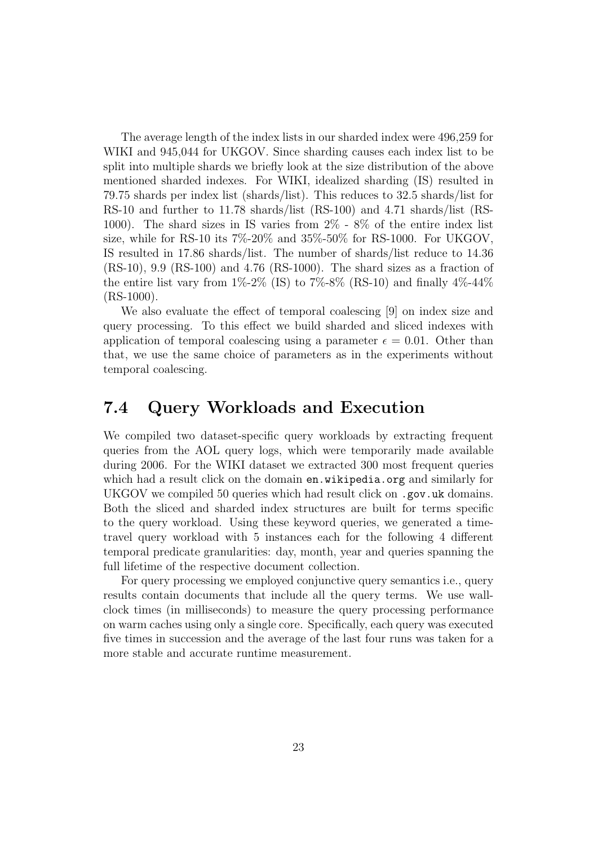The average length of the index lists in our sharded index were 496,259 for WIKI and 945,044 for UKGOV. Since sharding causes each index list to be split into multiple shards we briefly look at the size distribution of the above mentioned sharded indexes. For WIKI, idealized sharding (IS) resulted in 79.75 shards per index list (shards/list). This reduces to 32.5 shards/list for RS-10 and further to 11.78 shards/list (RS-100) and 4.71 shards/list (RS-1000). The shard sizes in IS varies from 2% - 8% of the entire index list size, while for RS-10 its  $7\%$ -20% and  $35\%$ -50% for RS-1000. For UKGOV, IS resulted in 17.86 shards/list. The number of shards/list reduce to 14.36 (RS-10), 9.9 (RS-100) and 4.76 (RS-1000). The shard sizes as a fraction of the entire list vary from  $1\% - 2\%$  (IS) to  $7\% - 8\%$  (RS-10) and finally  $4\% - 44\%$  $(RS-1000)$ .

We also evaluate the effect of temporal coalescing [9] on index size and query processing. To this effect we build sharded and sliced indexes with application of temporal coalescing using a parameter  $\epsilon = 0.01$ . Other than that, we use the same choice of parameters as in the experiments without temporal coalescing.

### 7.4 Query Workloads and Execution

We compiled two dataset-specific query workloads by extracting frequent queries from the AOL query logs, which were temporarily made available during 2006. For the WIKI dataset we extracted 300 most frequent queries which had a result click on the domain en.wikipedia.org and similarly for UKGOV we compiled 50 queries which had result click on .gov.uk domains. Both the sliced and sharded index structures are built for terms specific to the query workload. Using these keyword queries, we generated a timetravel query workload with 5 instances each for the following 4 different temporal predicate granularities: day, month, year and queries spanning the full lifetime of the respective document collection.

For query processing we employed conjunctive query semantics i.e., query results contain documents that include all the query terms. We use wallclock times (in milliseconds) to measure the query processing performance on warm caches using only a single core. Specifically, each query was executed five times in succession and the average of the last four runs was taken for a more stable and accurate runtime measurement.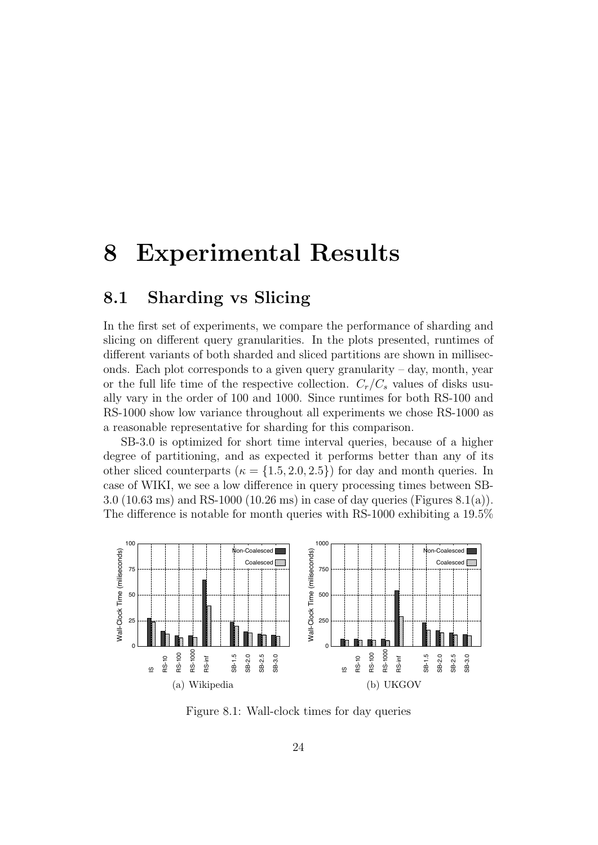## 8 Experimental Results

### 8.1 Sharding vs Slicing

In the first set of experiments, we compare the performance of sharding and slicing on different query granularities. In the plots presented, runtimes of different variants of both sharded and sliced partitions are shown in milliseconds. Each plot corresponds to a given query granularity  $-$  day, month, year or the full life time of the respective collection.  $C_r/C_s$  values of disks usually vary in the order of 100 and 1000. Since runtimes for both RS-100 and RS-1000 show low variance throughout all experiments we chose RS-1000 as a reasonable representative for sharding for this comparison.

SB-3.0 is optimized for short time interval queries, because of a higher degree of partitioning, and as expected it performs better than any of its other sliced counterparts ( $\kappa = \{1.5, 2.0, 2.5\}$ ) for day and month queries. In case of WIKI, we see a low difference in query processing times between SB-3.0 (10.63 ms) and RS-1000 (10.26 ms) in case of day queries (Figures 8.1(a)). The difference is notable for month queries with RS-1000 exhibiting a 19.5%



Figure 8.1: Wall-clock times for day queries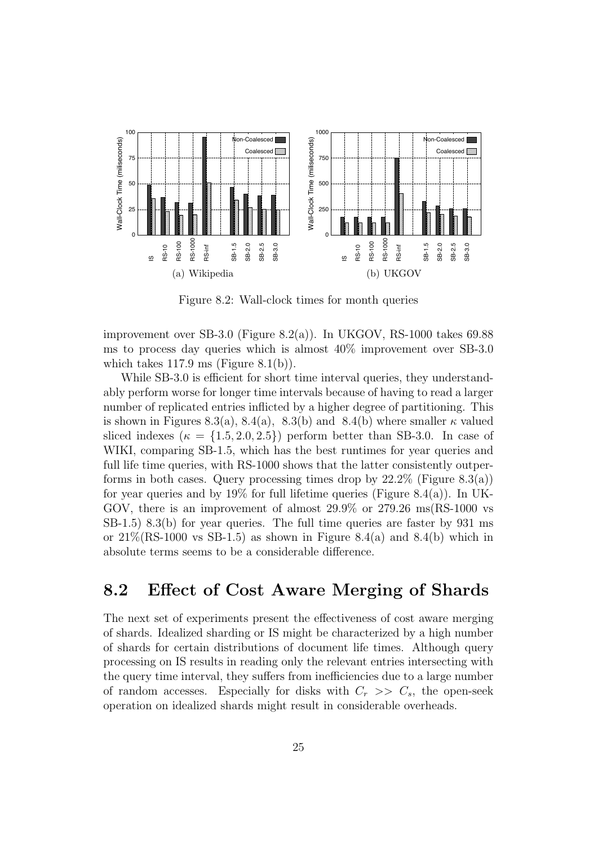

Figure 8.2: Wall-clock times for month queries

improvement over SB-3.0 (Figure 8.2(a)). In UKGOV, RS-1000 takes 69.88 ms to process day queries which is almost 40% improvement over SB-3.0 which takes  $117.9 \text{ ms}$  (Figure  $8.1(b)$ ).

While SB-3.0 is efficient for short time interval queries, they understandably perform worse for longer time intervals because of having to read a larger number of replicated entries inflicted by a higher degree of partitioning. This is shown in Figures 8.3(a), 8.4(a), 8.3(b) and 8.4(b) where smaller  $\kappa$  valued sliced indexes ( $\kappa = \{1.5, 2.0, 2.5\}$ ) perform better than SB-3.0. In case of WIKI, comparing SB-1.5, which has the best runtimes for year queries and full life time queries, with RS-1000 shows that the latter consistently outperforms in both cases. Query processing times drop by  $22.2\%$  (Figure  $8.3(a)$ ) for year queries and by  $19\%$  for full lifetime queries (Figure 8.4(a)). In UK-GOV, there is an improvement of almost 29.9% or 279.26 ms(RS-1000 vs SB-1.5) 8.3(b) for year queries. The full time queries are faster by 931 ms or  $21\%$ (RS-1000 vs SB-1.5) as shown in Figure 8.4(a) and 8.4(b) which in absolute terms seems to be a considerable difference.

### 8.2 Effect of Cost Aware Merging of Shards

The next set of experiments present the effectiveness of cost aware merging of shards. Idealized sharding or IS might be characterized by a high number of shards for certain distributions of document life times. Although query processing on IS results in reading only the relevant entries intersecting with the query time interval, they suffers from inefficiencies due to a large number of random accesses. Especially for disks with  $C_r$   $>>$   $C_s$ , the open-seek operation on idealized shards might result in considerable overheads.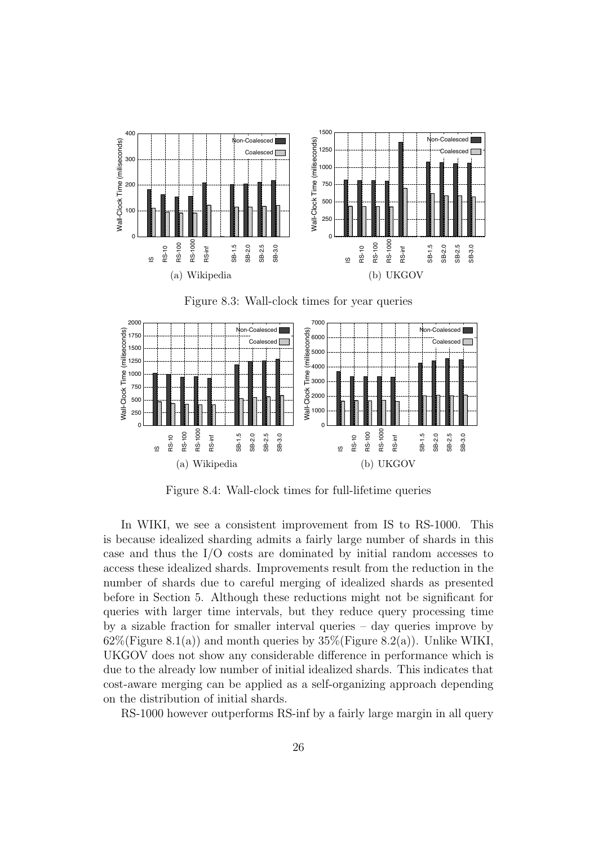





Figure 8.4: Wall-clock times for full-lifetime queries

In WIKI, we see a consistent improvement from IS to RS-1000. This is because idealized sharding admits a fairly large number of shards in this case and thus the I/O costs are dominated by initial random accesses to access these idealized shards. Improvements result from the reduction in the number of shards due to careful merging of idealized shards as presented before in Section 5. Although these reductions might not be significant for queries with larger time intervals, but they reduce query processing time by a sizable fraction for smaller interval queries – day queries improve by  $62\%$ (Figure 8.1(a)) and month queries by  $35\%$ (Figure 8.2(a)). Unlike WIKI, UKGOV does not show any considerable difference in performance which is due to the already low number of initial idealized shards. This indicates that cost-aware merging can be applied as a self-organizing approach depending on the distribution of initial shards.

RS-1000 however outperforms RS-inf by a fairly large margin in all query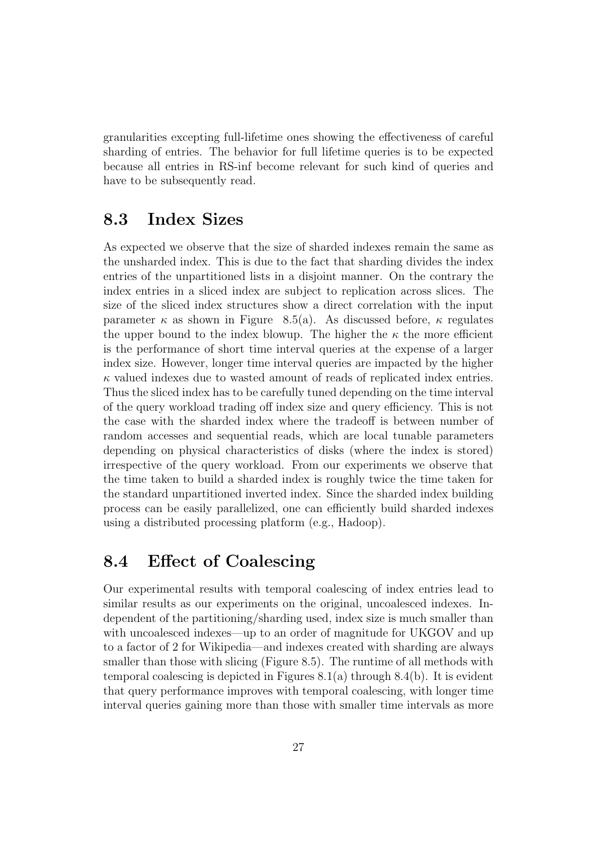granularities excepting full-lifetime ones showing the effectiveness of careful sharding of entries. The behavior for full lifetime queries is to be expected because all entries in RS-inf become relevant for such kind of queries and have to be subsequently read.

### 8.3 Index Sizes

As expected we observe that the size of sharded indexes remain the same as the unsharded index. This is due to the fact that sharding divides the index entries of the unpartitioned lists in a disjoint manner. On the contrary the index entries in a sliced index are subject to replication across slices. The size of the sliced index structures show a direct correlation with the input parameter  $\kappa$  as shown in Figure 8.5(a). As discussed before,  $\kappa$  regulates the upper bound to the index blowup. The higher the  $\kappa$  the more efficient is the performance of short time interval queries at the expense of a larger index size. However, longer time interval queries are impacted by the higher  $\kappa$  valued indexes due to wasted amount of reads of replicated index entries. Thus the sliced index has to be carefully tuned depending on the time interval of the query workload trading off index size and query efficiency. This is not the case with the sharded index where the tradeoff is between number of random accesses and sequential reads, which are local tunable parameters depending on physical characteristics of disks (where the index is stored) irrespective of the query workload. From our experiments we observe that the time taken to build a sharded index is roughly twice the time taken for the standard unpartitioned inverted index. Since the sharded index building process can be easily parallelized, one can efficiently build sharded indexes using a distributed processing platform (e.g., Hadoop).

### 8.4 Effect of Coalescing

Our experimental results with temporal coalescing of index entries lead to similar results as our experiments on the original, uncoalesced indexes. Independent of the partitioning/sharding used, index size is much smaller than with uncoalesced indexes—up to an order of magnitude for UKGOV and up to a factor of 2 for Wikipedia—and indexes created with sharding are always smaller than those with slicing (Figure 8.5). The runtime of all methods with temporal coalescing is depicted in Figures 8.1(a) through 8.4(b). It is evident that query performance improves with temporal coalescing, with longer time interval queries gaining more than those with smaller time intervals as more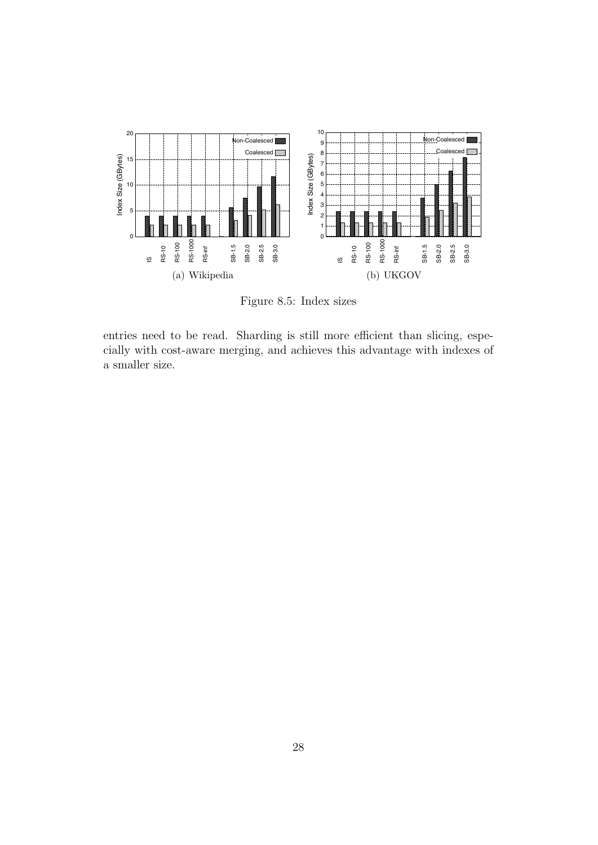

Figure 8.5: Index sizes

entries need to be read. Sharding is still more efficient than slicing, especially with cost-aware merging, and achieves this advantage with indexes of a smaller size.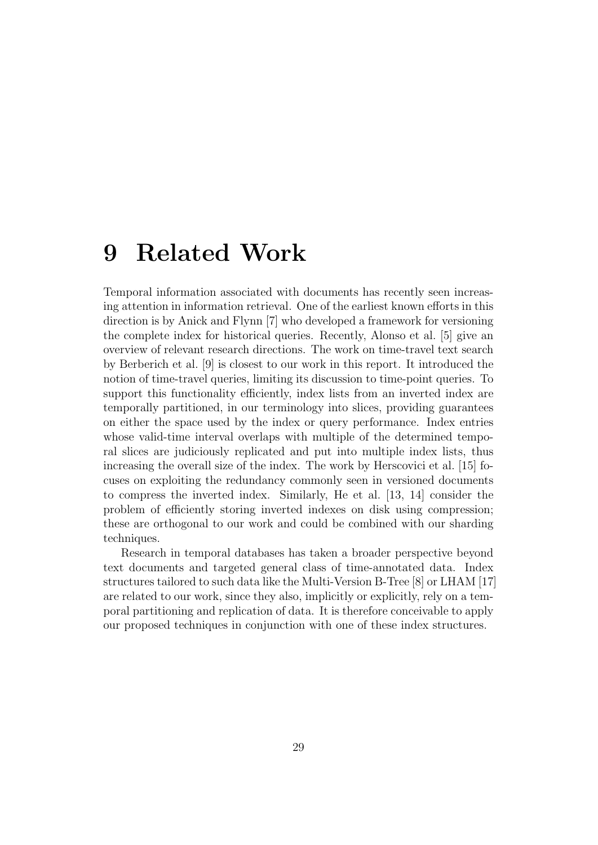# 9 Related Work

Temporal information associated with documents has recently seen increasing attention in information retrieval. One of the earliest known efforts in this direction is by Anick and Flynn [7] who developed a framework for versioning the complete index for historical queries. Recently, Alonso et al. [5] give an overview of relevant research directions. The work on time-travel text search by Berberich et al. [9] is closest to our work in this report. It introduced the notion of time-travel queries, limiting its discussion to time-point queries. To support this functionality efficiently, index lists from an inverted index are temporally partitioned, in our terminology into slices, providing guarantees on either the space used by the index or query performance. Index entries whose valid-time interval overlaps with multiple of the determined temporal slices are judiciously replicated and put into multiple index lists, thus increasing the overall size of the index. The work by Herscovici et al. [15] focuses on exploiting the redundancy commonly seen in versioned documents to compress the inverted index. Similarly, He et al. [13, 14] consider the problem of efficiently storing inverted indexes on disk using compression; these are orthogonal to our work and could be combined with our sharding techniques.

Research in temporal databases has taken a broader perspective beyond text documents and targeted general class of time-annotated data. Index structures tailored to such data like the Multi-Version B-Tree [8] or LHAM [17] are related to our work, since they also, implicitly or explicitly, rely on a temporal partitioning and replication of data. It is therefore conceivable to apply our proposed techniques in conjunction with one of these index structures.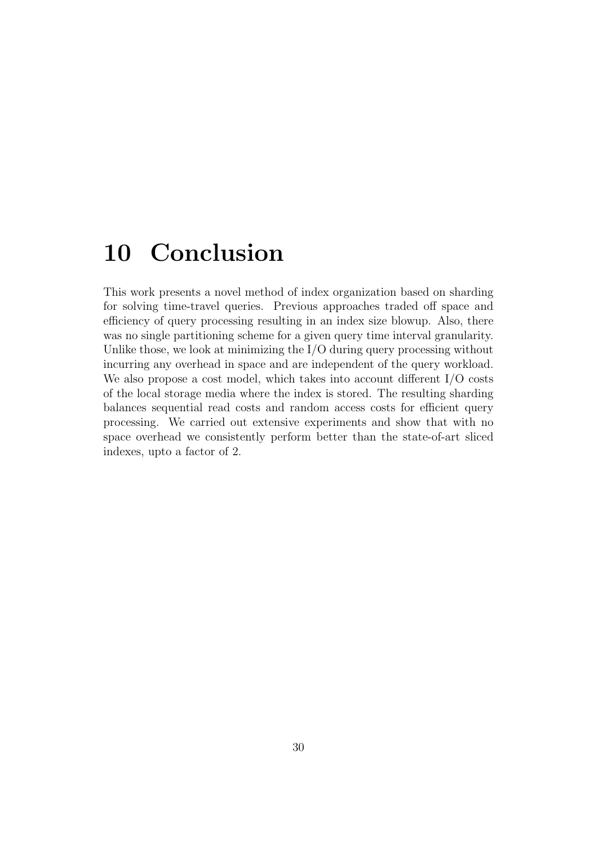# 10 Conclusion

This work presents a novel method of index organization based on sharding for solving time-travel queries. Previous approaches traded off space and efficiency of query processing resulting in an index size blowup. Also, there was no single partitioning scheme for a given query time interval granularity. Unlike those, we look at minimizing the I/O during query processing without incurring any overhead in space and are independent of the query workload. We also propose a cost model, which takes into account different I/O costs of the local storage media where the index is stored. The resulting sharding balances sequential read costs and random access costs for efficient query processing. We carried out extensive experiments and show that with no space overhead we consistently perform better than the state-of-art sliced indexes, upto a factor of 2.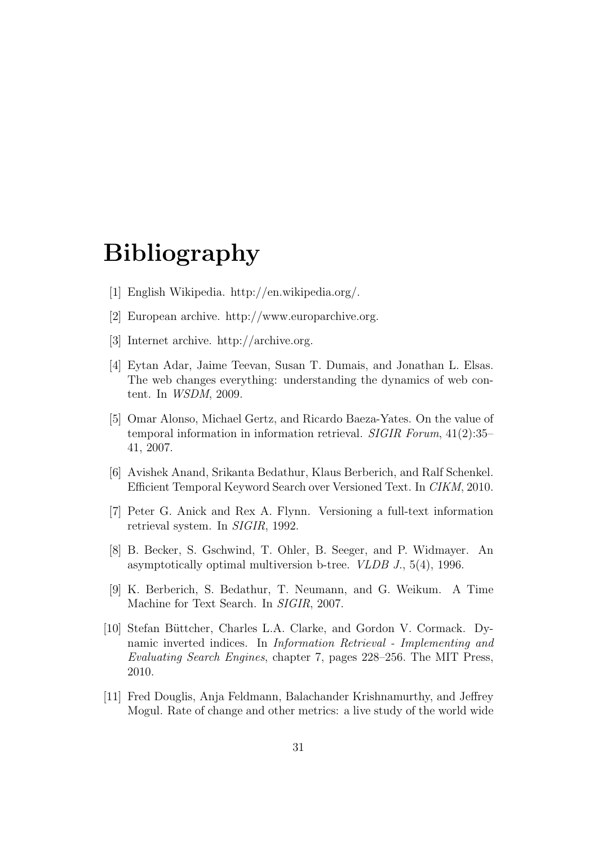# Bibliography

- [1] English Wikipedia. http://en.wikipedia.org/.
- [2] European archive. http://www.europarchive.org.
- [3] Internet archive. http://archive.org.
- [4] Eytan Adar, Jaime Teevan, Susan T. Dumais, and Jonathan L. Elsas. The web changes everything: understanding the dynamics of web content. In WSDM, 2009.
- [5] Omar Alonso, Michael Gertz, and Ricardo Baeza-Yates. On the value of temporal information in information retrieval. SIGIR Forum, 41(2):35– 41, 2007.
- [6] Avishek Anand, Srikanta Bedathur, Klaus Berberich, and Ralf Schenkel. Efficient Temporal Keyword Search over Versioned Text. In CIKM, 2010.
- [7] Peter G. Anick and Rex A. Flynn. Versioning a full-text information retrieval system. In SIGIR, 1992.
- [8] B. Becker, S. Gschwind, T. Ohler, B. Seeger, and P. Widmayer. An asymptotically optimal multiversion b-tree. VLDB J., 5(4), 1996.
- [9] K. Berberich, S. Bedathur, T. Neumann, and G. Weikum. A Time Machine for Text Search. In SIGIR, 2007.
- [10] Stefan Büttcher, Charles L.A. Clarke, and Gordon V. Cormack. Dynamic inverted indices. In Information Retrieval - Implementing and Evaluating Search Engines, chapter 7, pages 228–256. The MIT Press, 2010.
- [11] Fred Douglis, Anja Feldmann, Balachander Krishnamurthy, and Jeffrey Mogul. Rate of change and other metrics: a live study of the world wide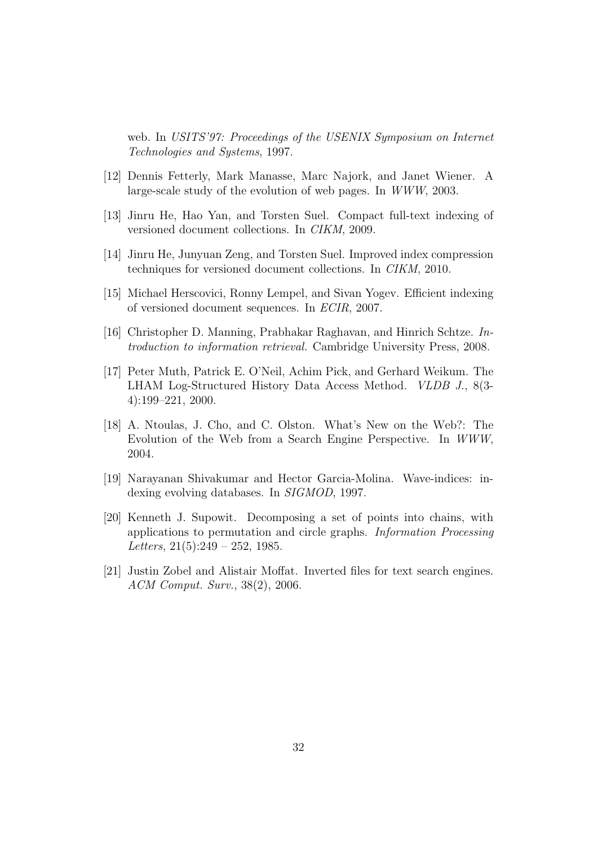web. In USITS'97: Proceedings of the USENIX Symposium on Internet Technologies and Systems, 1997.

- [12] Dennis Fetterly, Mark Manasse, Marc Najork, and Janet Wiener. A large-scale study of the evolution of web pages. In WWW, 2003.
- [13] Jinru He, Hao Yan, and Torsten Suel. Compact full-text indexing of versioned document collections. In CIKM, 2009.
- [14] Jinru He, Junyuan Zeng, and Torsten Suel. Improved index compression techniques for versioned document collections. In CIKM, 2010.
- [15] Michael Herscovici, Ronny Lempel, and Sivan Yogev. Efficient indexing of versioned document sequences. In ECIR, 2007.
- [16] Christopher D. Manning, Prabhakar Raghavan, and Hinrich Schtze. Introduction to information retrieval. Cambridge University Press, 2008.
- [17] Peter Muth, Patrick E. O'Neil, Achim Pick, and Gerhard Weikum. The LHAM Log-Structured History Data Access Method. VLDB J., 8(3- 4):199–221, 2000.
- [18] A. Ntoulas, J. Cho, and C. Olston. What's New on the Web?: The Evolution of the Web from a Search Engine Perspective. In WWW, 2004.
- [19] Narayanan Shivakumar and Hector Garcia-Molina. Wave-indices: indexing evolving databases. In *SIGMOD*, 1997.
- [20] Kenneth J. Supowit. Decomposing a set of points into chains, with applications to permutation and circle graphs. Information Processing Letters,  $21(5):249 - 252$ , 1985.
- [21] Justin Zobel and Alistair Moffat. Inverted files for text search engines. ACM Comput. Surv., 38(2), 2006.